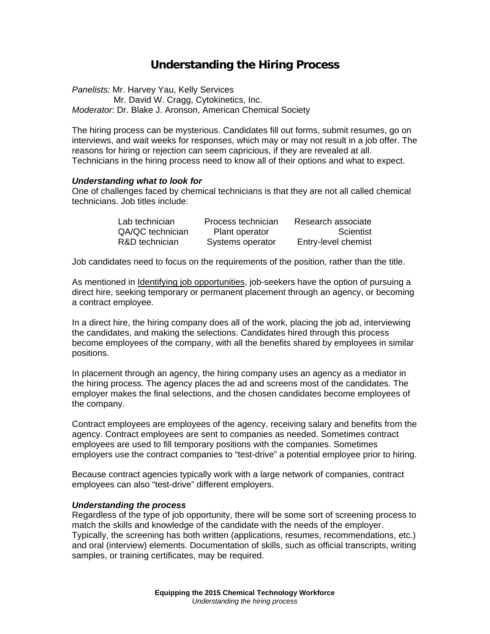# **Understanding the Hiring Process**

*Panelists:* Mr. Harvey Yau, Kelly Services Mr. David W. Cragg, Cytokinetics, Inc. *Moderator*: Dr. Blake J. Aronson, American Chemical Society

The hiring process can be mysterious. Candidates fill out forms, submit resumes, go on interviews, and wait weeks for responses, which may or may not result in a job offer. The reasons for hiring or rejection can seem capricious, if they are revealed at all. Technicians in the hiring process need to know all of their options and what to expect.

## *Understanding what to look for*

One of challenges faced by chemical technicians is that they are not all called chemical technicians. Job titles include:

| Lab technician   | Process technician | Research associate  |
|------------------|--------------------|---------------------|
| QA/QC technician | Plant operator     | Scientist           |
| R&D technician   | Systems operator   | Entry-level chemist |

Job candidates need to focus on the requirements of the position, rather than the title.

As mentioned in Identifying job opportunities, job-seekers have the option of pursuing a direct hire, seeking temporary or permanent placement through an agency, or becoming a contract employee.

In a direct hire, the hiring company does all of the work, placing the job ad, interviewing the candidates, and making the selections. Candidates hired through this process become employees of the company, with all the benefits shared by employees in similar positions.

In placement through an agency, the hiring company uses an agency as a mediator in the hiring process. The agency places the ad and screens most of the candidates. The employer makes the final selections, and the chosen candidates become employees of the company.

Contract employees are employees of the agency, receiving salary and benefits from the agency. Contract employees are sent to companies as needed. Sometimes contract employees are used to fill temporary positions with the companies. Sometimes employers use the contract companies to "test-drive" a potential employee prior to hiring.

Because contract agencies typically work with a large network of companies, contract employees can also "test-drive" different employers.

#### *Understanding the process*

Regardless of the type of job opportunity, there will be some sort of screening process to match the skills and knowledge of the candidate with the needs of the employer. Typically, the screening has both written (applications, resumes, recommendations, etc.) and oral (interview) elements. Documentation of skills, such as official transcripts, writing samples, or training certificates, may be required.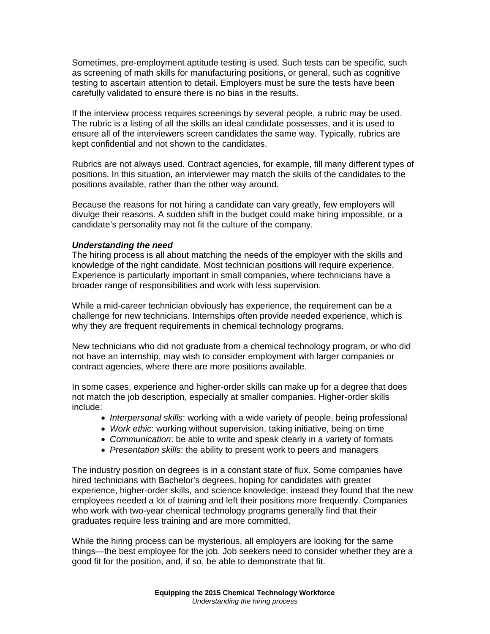Sometimes, pre-employment aptitude testing is used. Such tests can be specific, such as screening of math skills for manufacturing positions, or general, such as cognitive testing to ascertain attention to detail. Employers must be sure the tests have been carefully validated to ensure there is no bias in the results.

If the interview process requires screenings by several people, a rubric may be used. The rubric is a listing of all the skills an ideal candidate possesses, and it is used to ensure all of the interviewers screen candidates the same way. Typically, rubrics are kept confidential and not shown to the candidates.

Rubrics are not always used. Contract agencies, for example, fill many different types of positions. In this situation, an interviewer may match the skills of the candidates to the positions available, rather than the other way around.

Because the reasons for not hiring a candidate can vary greatly, few employers will divulge their reasons. A sudden shift in the budget could make hiring impossible, or a candidate's personality may not fit the culture of the company.

## *Understanding the need*

The hiring process is all about matching the needs of the employer with the skills and knowledge of the right candidate. Most technician positions will require experience. Experience is particularly important in small companies, where technicians have a broader range of responsibilities and work with less supervision.

While a mid-career technician obviously has experience, the requirement can be a challenge for new technicians. Internships often provide needed experience, which is why they are frequent requirements in chemical technology programs.

New technicians who did not graduate from a chemical technology program, or who did not have an internship, may wish to consider employment with larger companies or contract agencies, where there are more positions available.

In some cases, experience and higher-order skills can make up for a degree that does not match the job description, especially at smaller companies. Higher-order skills include:

- *Interpersonal skills*: working with a wide variety of people, being professional
- *Work ethic*: working without supervision, taking initiative, being on time
- *Communication*: be able to write and speak clearly in a variety of formats
- *Presentation skills*: the ability to present work to peers and managers

The industry position on degrees is in a constant state of flux. Some companies have hired technicians with Bachelor's degrees, hoping for candidates with greater experience, higher-order skills, and science knowledge; instead they found that the new employees needed a lot of training and left their positions more frequently. Companies who work with two-year chemical technology programs generally find that their graduates require less training and are more committed.

While the hiring process can be mysterious, all employers are looking for the same things—the best employee for the job. Job seekers need to consider whether they are a good fit for the position, and, if so, be able to demonstrate that fit.